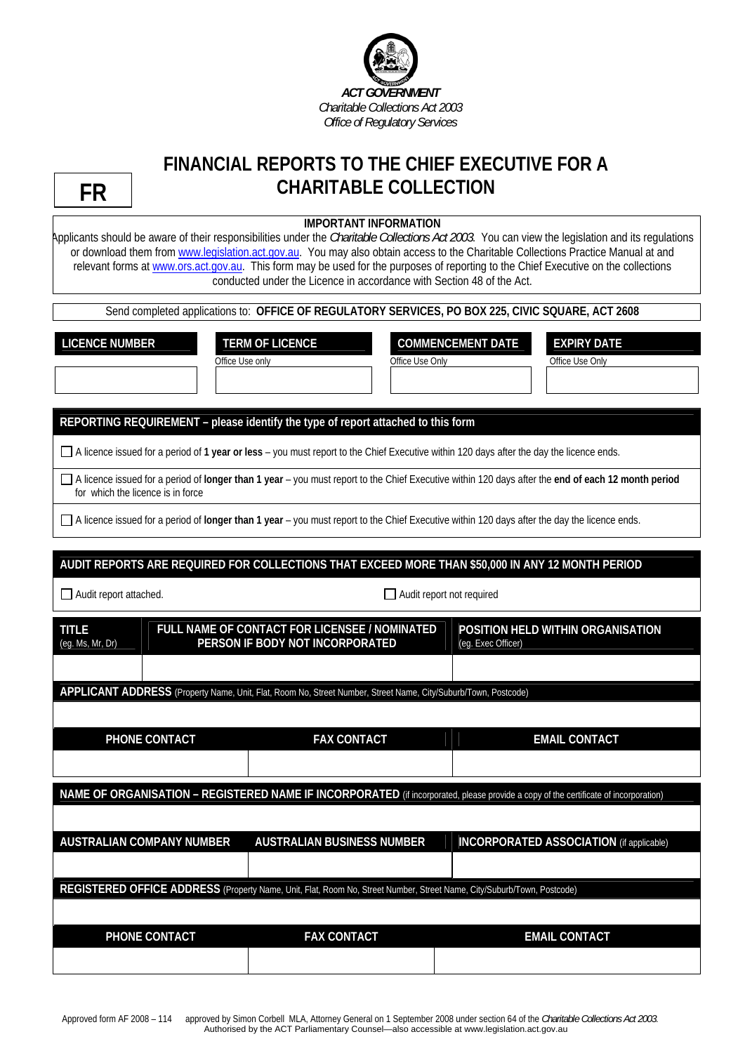

## **FINANCIAL REPORTS TO THE CHIEF EXECUTIVE FOR A CHARITABLE COLLECTION**

## **IMPORTANT INFORMATION**

Applicants should be aware of their responsibilities under the *Charitable Collections Act 2003*. You can view the legislation and its regulations or download them from [www.legislation.act.gov.au](http://www.legislation.act.gov.au/). You may also obtain access to the Charitable Collections Practice Manual at and relevant forms at [www.ors.act.gov.au.](http://www.ors.act.gov.au/) This form may be used for the purposes of reporting to the Chief Executive on the collections conducted under the Licence in accordance with Section 48 of the Act.

Send completed applications to: **OFFICE OF REGULATORY SERVICES, PO BOX 225, CIVIC SQUARE, ACT 2608**

LICENCE NUMBER **TERM OF LICENCE COMMENCEMENT DATE EXPIRY DATE** 

Office Use only **Office Use Only** Office Use Only **Office Use Only** Office Use Only

**REPORTING REQUIREMENT – please identify the type of report attached to this form**

A licence issued for a period of **1 year or less** – you must report to the Chief Executive within 120 days after the day the licence ends.

 A licence issued for a period of **longer than 1 year** – you must report to the Chief Executive within 120 days after the **end of each 12 month period** for which the licence is in force

A licence issued for a period of **longer than 1 year** – you must report to the Chief Executive within 120 days after the day the licence ends.

## **AUDIT REPORTS ARE REQUIRED FOR COLLECTIONS THAT EXCEED MORE THAN \$50,000 IN ANY 12 MONTH PERIOD**

Audit report attached. Audit report not required

| <b>TITLE</b><br>(eg. Ms, Mr, Dr)                                                                                                    |                                  | FULL NAME OF CONTACT FOR LICENSEE / NOMINATED<br>PERSON IF BODY NOT INCORPORATED | POSITION HELD WITHIN ORGANISATION<br>(eg. Exec Officer) |  |  |  |
|-------------------------------------------------------------------------------------------------------------------------------------|----------------------------------|----------------------------------------------------------------------------------|---------------------------------------------------------|--|--|--|
|                                                                                                                                     |                                  |                                                                                  |                                                         |  |  |  |
| APPLICANT ADDRESS (Property Name, Unit, Flat, Room No, Street Number, Street Name, City/Suburb/Town, Postcode)                      |                                  |                                                                                  |                                                         |  |  |  |
|                                                                                                                                     |                                  |                                                                                  |                                                         |  |  |  |
| <b>PHONE CONTACT</b>                                                                                                                |                                  | <b>FAX CONTACT</b>                                                               | <b>EMAIL CONTACT</b>                                    |  |  |  |
|                                                                                                                                     |                                  |                                                                                  |                                                         |  |  |  |
| NAME OF ORGANISATION - REGISTERED NAME IF INCORPORATED (if incorporated, please provide a copy of the certificate of incorporation) |                                  |                                                                                  |                                                         |  |  |  |
|                                                                                                                                     |                                  |                                                                                  |                                                         |  |  |  |
|                                                                                                                                     | <b>AUSTRALIAN COMPANY NUMBER</b> | <b>AUSTRALIAN BUSINESS NUMBER</b>                                                | <b>INCORPORATED ASSOCIATION</b> (if applicable)         |  |  |  |
|                                                                                                                                     |                                  |                                                                                  |                                                         |  |  |  |
| REGISTERED OFFICE ADDRESS (Property Name, Unit, Flat, Room No, Street Number, Street Name, City/Suburb/Town, Postcode)              |                                  |                                                                                  |                                                         |  |  |  |
|                                                                                                                                     |                                  |                                                                                  |                                                         |  |  |  |
|                                                                                                                                     | PHONE CONTACT                    | <b>FAX CONTACT</b>                                                               | <b>EMAIL CONTACT</b>                                    |  |  |  |
|                                                                                                                                     |                                  |                                                                                  |                                                         |  |  |  |